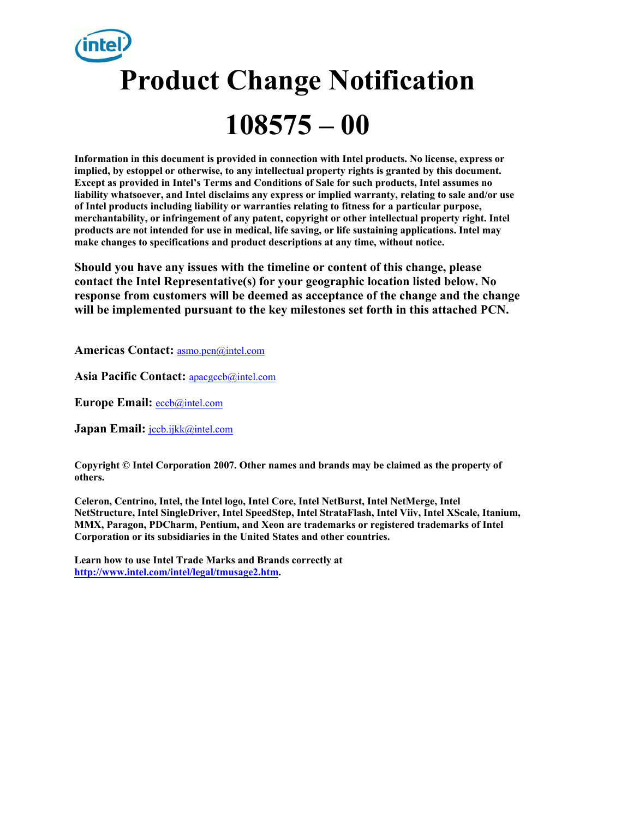# **Product Change Notification 108575 – 00**

**Information in this document is provided in connection with Intel products. No license, express or implied, by estoppel or otherwise, to any intellectual property rights is granted by this document. Except as provided in Intel's Terms and Conditions of Sale for such products, Intel assumes no liability whatsoever, and Intel disclaims any express or implied warranty, relating to sale and/or use of Intel products including liability or warranties relating to fitness for a particular purpose, merchantability, or infringement of any patent, copyright or other intellectual property right. Intel products are not intended for use in medical, life saving, or life sustaining applications. Intel may make changes to specifications and product descriptions at any time, without notice.** 

**Should you have any issues with the timeline or content of this change, please contact the Intel Representative(s) for your geographic location listed below. No response from customers will be deemed as acceptance of the change and the change will be implemented pursuant to the key milestones set forth in this attached PCN.** 

**Americas Contact:** asmo.pcn@intel.com

**Asia Pacific Contact:** apacgccb@intel.com

**Europe Email:** eccb@intel.com

Japan Email: **jccb.ijkk@intel.com** 

**Copyright © Intel Corporation 2007. Other names and brands may be claimed as the property of others.**

**Celeron, Centrino, Intel, the Intel logo, Intel Core, Intel NetBurst, Intel NetMerge, Intel NetStructure, Intel SingleDriver, Intel SpeedStep, Intel StrataFlash, Intel Viiv, Intel XScale, Itanium, MMX, Paragon, PDCharm, Pentium, and Xeon are trademarks or registered trademarks of Intel Corporation or its subsidiaries in the United States and other countries.** 

**Learn how to use Intel Trade Marks and Brands correctly at http://www.intel.com/intel/legal/tmusage2.htm.**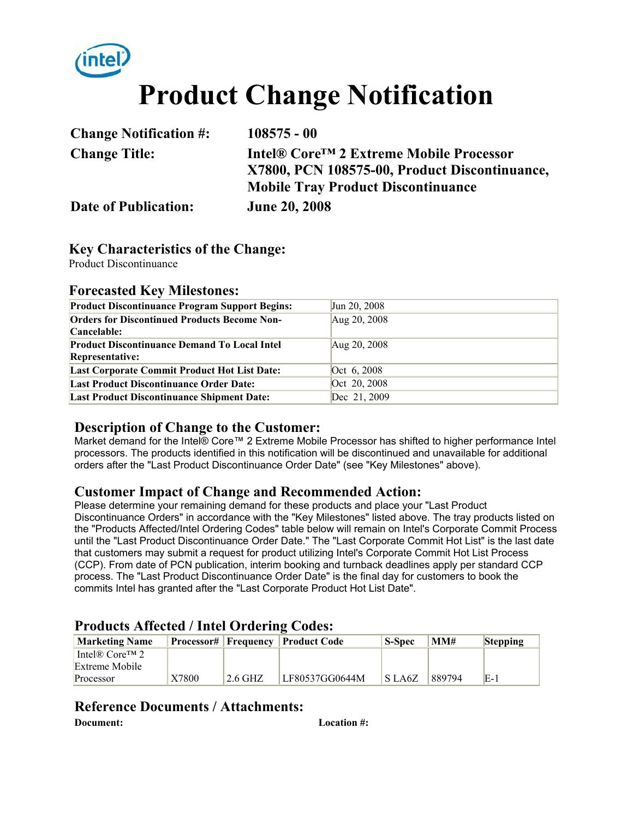

# **Product Change Notification**

| <b>Change Notification #:</b> | $108575 - 00$                                       |
|-------------------------------|-----------------------------------------------------|
| <b>Change Title:</b>          | Intel® Core <sup>™</sup> 2 Extreme Mobile Processor |
|                               | X7800, PCN 108575-00, Product Discontinuance,       |
|                               | <b>Mobile Tray Product Discontinuance</b>           |
| <b>Date of Publication:</b>   | <b>June 20, 2008</b>                                |

### **Key Characteristics of the Change:**

Product Discontinuance

#### **Forecasted Key Milestones:**

| <b>Product Discontinuance Program Support Begins:</b> | Jun 20, 2008 |
|-------------------------------------------------------|--------------|
| <b>Orders for Discontinued Products Become Non-</b>   | Aug 20, 2008 |
| Cancelable:                                           |              |
| <b>Product Discontinuance Demand To Local Intel</b>   | Aug 20, 2008 |
| <b>Representative:</b>                                |              |
| <b>Last Corporate Commit Product Hot List Date:</b>   | Oct 6, 2008  |
| <b>Last Product Discontinuance Order Date:</b>        | Oct 20, 2008 |
| <b>Last Product Discontinuance Shipment Date:</b>     | Dec 21, 2009 |

#### **Description of Change to the Customer:**

Market demand for the Intel® Core™ 2 Extreme Mobile Processor has shifted to higher performance Intel processors. The products identified in this notification will be discontinued and unavailable for additional orders after the "Last Product Discontinuance Order Date" (see "Key Milestones" above).

#### **Customer Impact of Change and Recommended Action:**

Please determine your remaining demand for these products and place your "Last Product Discontinuance Orders" in accordance with the "Key Milestones" listed above. The tray products listed on the "Products Affected/Intel Ordering Codes" table below will remain on Intel's Corporate Commit Process until the "Last Product Discontinuance Order Date." The "Last Corporate Commit Hot List" is the last date that customers may submit a request for product utilizing Intel's Corporate Commit Hot List Process (CCP). From date of PCN publication, interim booking and turnback deadlines apply per standard CCP process. The "Last Product Discontinuance Order Date" is the final day for customers to book the commits Intel has granted after the "Last Corporate Product Hot List Date".

# **Products Affected / Intel Ordering Codes:**

| <b>Marketing Name</b>                   |       |         | <b>Processor#   Frequency   Product Code</b> | <b>S-Spec</b> | MM#    | <b>Stepping</b> |
|-----------------------------------------|-------|---------|----------------------------------------------|---------------|--------|-----------------|
| Intel <sup>®</sup> Core <sup>TM</sup> 2 |       |         |                                              |               |        |                 |
| Extreme Mobile                          |       |         |                                              |               |        |                 |
| Processor                               | X7800 | 2.6 GHZ | LF80537GG0644M                               | S LA6Z        | 889794 | $E-1$           |

# **Reference Documents / Attachments:**

**Document: Location #:**